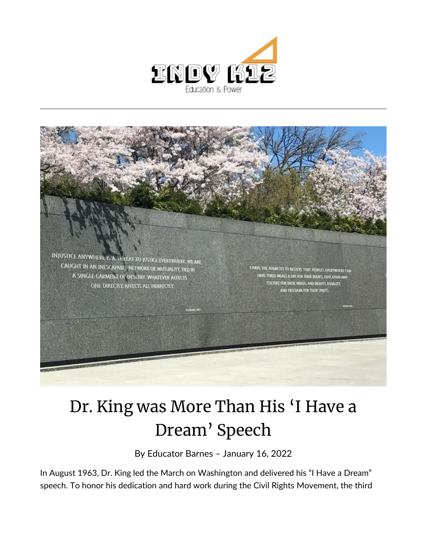



## Dr. King was More Than His 'I Have a Dream' Speech

By [Educator Barnes](https://indy.education/author/shicole/) – January 16, 2022

In August 1963, Dr. King led the March on Washington and delivered his "I Have a Dream" speech. To honor his dedication and hard work during the Civil Rights Movement, the third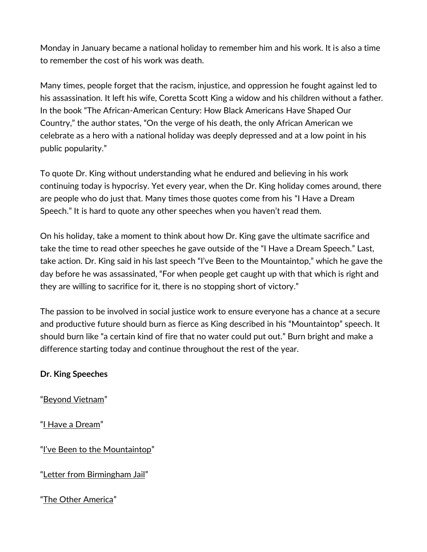Monday in January became a national holiday to remember him and his work. It is also a time to remember the cost of his work was death.

Many times, people forget that the racism, injustice, and oppression he fought against led to his assassination. It left his wife, Coretta Scott King a widow and his children without a father. In the book "The African-American Century: How Black Americans Have Shaped Our Country," the author states, "On the verge of his death, the only African American we celebrate as a hero with a national holiday was deeply depressed and at a low point in his public popularity."

To quote Dr. King without understanding what he endured and believing in his work continuing today is hypocrisy. Yet every year, when the Dr. King holiday comes around, there are people who do just that. Many times those quotes come from his "I Have a Dream Speech." It is hard to quote any other speeches when you haven't read them.

On his holiday, take a moment to think about how Dr. King gave the ultimate sacrifice and take the time to read other speeches he gave outside of the "I Have a Dream Speech." Last, take action. Dr. King said in his last speech "I've Been to the Mountaintop," which he gave the day before he was assassinated, "For when people get caught up with that which is right and they are willing to sacrifice for it, there is no stopping short of victory."

The passion to be involved in social justice work to ensure everyone has a chance at a secure and productive future should burn as fierce as King described in his "Mountaintop" speech. It should burn like "a certain kind of fire that no water could put out." Burn bright and make a difference starting today and continue throughout the rest of the year.

## **Dr. King Speeches**

"[Beyond Vietnam](https://www.americanrhetoric.com/speeches/mlkatimetobreaksilence.htm)"

"[I Have a Dream](https://www.npr.org/2010/01/18/122701268/i-have-a-dream-speech-in-its-entirety)"

["I've Been to the Mountaintop"](https://www.afscme.org/about/history/mlk/mountaintop)

"[Letter from Birmingham Jail](https://kinginstitute.stanford.edu/sites/mlk/files/letterfrombirmingham_wwcw_0.pdf)"

"[The Other America](https://www.crmvet.org/docs/otheram.htm)"